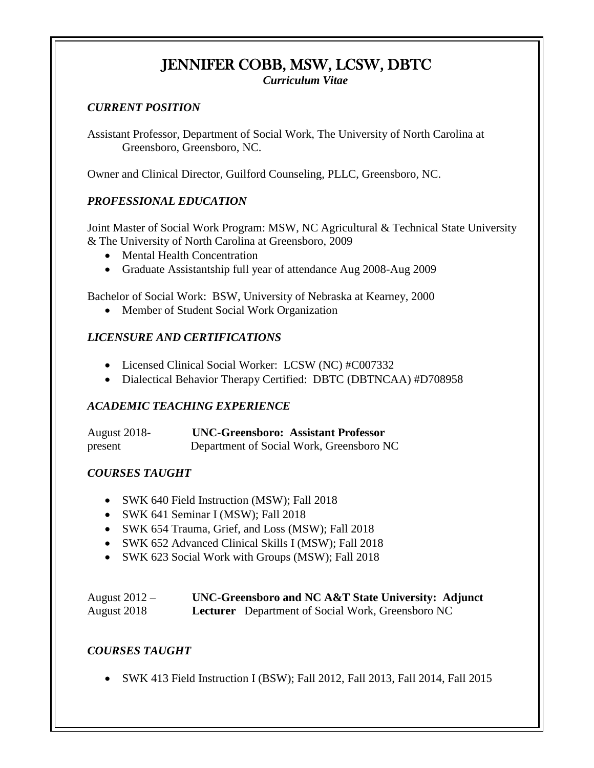# JENNIFER COBB, MSW, LCSW, DBTC

*Curriculum Vitae*

#### *CURRENT POSITION*

Assistant Professor, Department of Social Work, The University of North Carolina at Greensboro, Greensboro, NC.

Owner and Clinical Director, Guilford Counseling, PLLC, Greensboro, NC.

#### *PROFESSIONAL EDUCATION*

Joint Master of Social Work Program: MSW, NC Agricultural & Technical State University & The University of North Carolina at Greensboro, 2009

- Mental Health Concentration
- Graduate Assistantship full year of attendance Aug 2008-Aug 2009

Bachelor of Social Work: BSW, University of Nebraska at Kearney, 2000

• Member of Student Social Work Organization

#### *LICENSURE AND CERTIFICATIONS*

- Licensed Clinical Social Worker: LCSW (NC) #C007332
- Dialectical Behavior Therapy Certified: DBTC (DBTNCAA) #D708958

#### *ACADEMIC TEACHING EXPERIENCE*

| <b>August 2018-</b> | <b>UNC-Greensboro: Assistant Professor</b> |
|---------------------|--------------------------------------------|
| present             | Department of Social Work, Greensboro NC   |

#### *COURSES TAUGHT*

- SWK 640 Field Instruction (MSW); Fall 2018
- SWK 641 Seminar I (MSW); Fall 2018
- SWK 654 Trauma, Grief, and Loss (MSW); Fall 2018
- SWK 652 Advanced Clinical Skills I (MSW); Fall 2018
- SWK 623 Social Work with Groups (MSW); Fall 2018

| August $2012 -$ | UNC-Greensboro and NC A&T State University: Adjunct      |
|-----------------|----------------------------------------------------------|
| August 2018     | <b>Lecturer</b> Department of Social Work, Greensboro NC |

#### *COURSES TAUGHT*

• SWK 413 Field Instruction I (BSW); Fall 2012, Fall 2013, Fall 2014, Fall 2015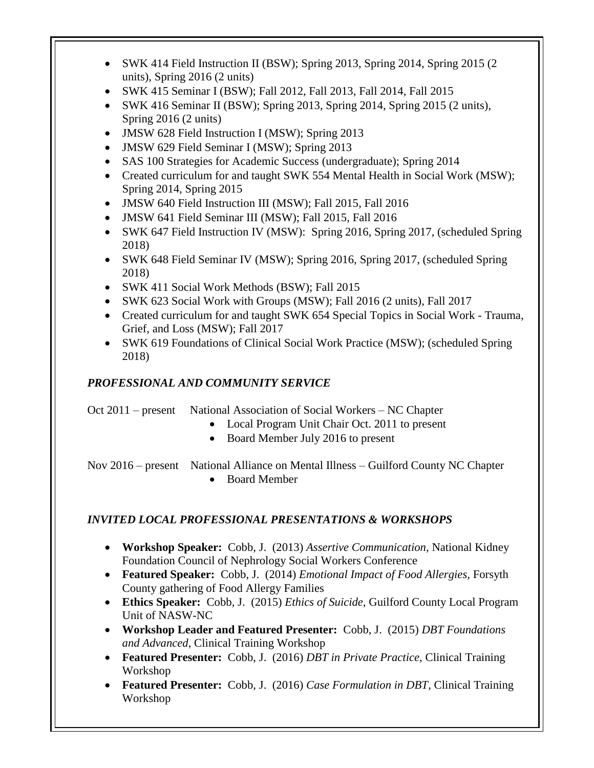- SWK 414 Field Instruction II (BSW); Spring 2013, Spring 2014, Spring 2015 (2) units), Spring 2016 (2 units)
- SWK 415 Seminar I (BSW); Fall 2012, Fall 2013, Fall 2014, Fall 2015
- SWK 416 Seminar II (BSW); Spring 2013, Spring 2014, Spring 2015 (2 units), Spring 2016 (2 units)
- JMSW 628 Field Instruction I (MSW); Spring 2013
- JMSW 629 Field Seminar I (MSW); Spring 2013
- SAS 100 Strategies for Academic Success (undergraduate); Spring 2014
- Created curriculum for and taught SWK 554 Mental Health in Social Work (MSW); Spring 2014, Spring 2015
- JMSW 640 Field Instruction III (MSW); Fall 2015, Fall 2016
- JMSW 641 Field Seminar III (MSW); Fall 2015, Fall 2016
- SWK 647 Field Instruction IV (MSW): Spring 2016, Spring 2017, (scheduled Spring 2018)
- SWK 648 Field Seminar IV (MSW); Spring 2016, Spring 2017, (scheduled Spring 2018)
- SWK 411 Social Work Methods (BSW); Fall 2015
- SWK 623 Social Work with Groups (MSW); Fall 2016 (2 units), Fall 2017
- Created curriculum for and taught SWK 654 Special Topics in Social Work Trauma, Grief, and Loss (MSW); Fall 2017
- SWK 619 Foundations of Clinical Social Work Practice (MSW); (scheduled Spring 2018)

### *PROFESSIONAL AND COMMUNITY SERVICE*

Oct 2011 – present National Association of Social Workers – NC Chapter

- Local Program Unit Chair Oct. 2011 to present
- Board Member July 2016 to present

 Nov 2016 – present National Alliance on Mental Illness – Guilford County NC Chapter • Board Member

#### *INVITED LOCAL PROFESSIONAL PRESENTATIONS & WORKSHOPS*

- **Workshop Speaker:** Cobb, J. (2013) *Assertive Communication,* National Kidney Foundation Council of Nephrology Social Workers Conference
- **Featured Speaker:** Cobb, J. (2014) *Emotional Impact of Food Allergies,* Forsyth County gathering of Food Allergy Families
- **Ethics Speaker:** Cobb, J. (2015) *Ethics of Suicide,* Guilford County Local Program Unit of NASW-NC
- **Workshop Leader and Featured Presenter:** Cobb, J. (2015) *DBT Foundations and Advanced*, Clinical Training Workshop
- **Featured Presenter:** Cobb, J. (2016) *DBT in Private Practice*, Clinical Training Workshop
- **Featured Presenter:** Cobb, J. (2016) *Case Formulation in DBT*, Clinical Training Workshop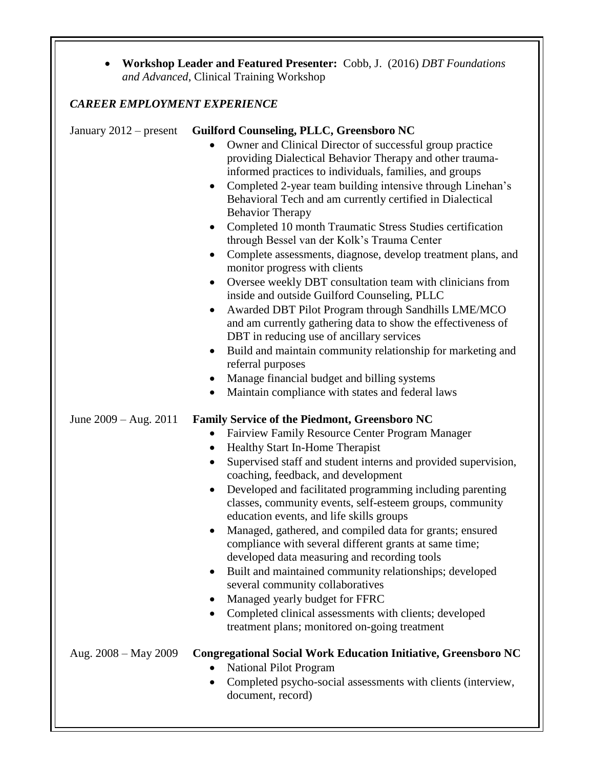| <b>Workshop Leader and Featured Presenter:</b> Cobb, J. (2016) <i>DBT Foundations</i> |  |
|---------------------------------------------------------------------------------------|--|
| and Advanced, Clinical Training Workshop                                              |  |

## *CAREER EMPLOYMENT EXPERIENCE*

| January $2012$ – present | Guilford Counseling, PLLC, Greensboro NC                                                                              |
|--------------------------|-----------------------------------------------------------------------------------------------------------------------|
|                          | Owner and Clinical Director of successful group practice                                                              |
|                          | providing Dialectical Behavior Therapy and other trauma-                                                              |
|                          | informed practices to individuals, families, and groups                                                               |
|                          | Completed 2-year team building intensive through Linehan's<br>$\bullet$                                               |
|                          | Behavioral Tech and am currently certified in Dialectical                                                             |
|                          | <b>Behavior Therapy</b>                                                                                               |
|                          | Completed 10 month Traumatic Stress Studies certification<br>$\bullet$<br>through Bessel van der Kolk's Trauma Center |
|                          | Complete assessments, diagnose, develop treatment plans, and<br>$\bullet$<br>monitor progress with clients            |
|                          | Oversee weekly DBT consultation team with clinicians from<br>$\bullet$                                                |
|                          | inside and outside Guilford Counseling, PLLC                                                                          |
|                          | Awarded DBT Pilot Program through Sandhills LME/MCO<br>$\bullet$                                                      |
|                          | and am currently gathering data to show the effectiveness of                                                          |
|                          | DBT in reducing use of ancillary services                                                                             |
|                          | Build and maintain community relationship for marketing and<br>$\bullet$                                              |
|                          | referral purposes                                                                                                     |
|                          | Manage financial budget and billing systems<br>$\bullet$                                                              |
|                          | Maintain compliance with states and federal laws<br>$\bullet$                                                         |
| June $2009 - Aug. 2011$  | <b>Family Service of the Piedmont, Greensboro NC</b>                                                                  |
|                          | Fairview Family Resource Center Program Manager<br>$\bullet$                                                          |
|                          | Healthy Start In-Home Therapist<br>$\bullet$                                                                          |
|                          | Supervised staff and student interns and provided supervision,<br>$\bullet$                                           |
|                          | coaching, feedback, and development                                                                                   |
|                          | Developed and facilitated programming including parenting                                                             |
|                          | classes, community events, self-esteem groups, community                                                              |
|                          | education events, and life skills groups                                                                              |
|                          | Managed, gathered, and compiled data for grants; ensured<br>$\bullet$                                                 |
|                          | compliance with several different grants at same time;                                                                |
|                          | developed data measuring and recording tools                                                                          |
|                          | Built and maintained community relationships; developed<br>٠<br>several community collaboratives                      |
|                          | Managed yearly budget for FFRC                                                                                        |
|                          | Completed clinical assessments with clients; developed<br>$\bullet$                                                   |
|                          | treatment plans; monitored on-going treatment                                                                         |
|                          |                                                                                                                       |
| Aug. $2008 - May 2009$   | <b>Congregational Social Work Education Initiative, Greensboro NC</b>                                                 |
|                          | <b>National Pilot Program</b><br>$\bullet$                                                                            |
|                          | Completed psycho-social assessments with clients (interview,                                                          |
|                          | document, record)                                                                                                     |
|                          |                                                                                                                       |